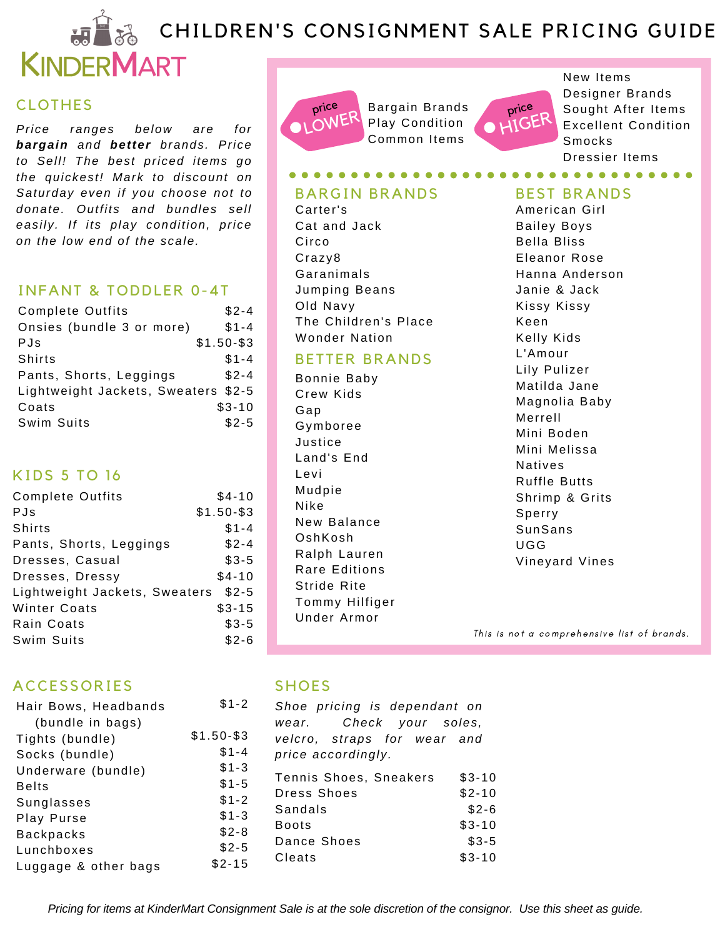# **CHILDREN'S CONSIGNMENT SALE PRICING GUIDE**



## CLOTHES

*Price ranges below are for bargain and better brands. Price to Sel l! The best priced items go the quickest! Mark to discount on Saturday even if you choose not to donate. Outfits and bundles sel l easi ly. If its play condition, price on the low end of the scale.*

### INFANT & TODDLER 0-4T

| <b>Complete Outfits</b>             | $$2 - 4$     |
|-------------------------------------|--------------|
| Onsies (bundle 3 or more)           | $$1 - 4$     |
| PJs                                 | $$1.50 - $3$ |
| Shirts                              | $$1 - 4$     |
| Pants, Shorts, Leggings             | $$2 - 4$     |
| Lightweight Jackets, Sweaters \$2-5 |              |
| Coats                               | $$3-10$      |
| Swim Suits                          | $$2-5$       |

# K IDS 5 TO 16

| <b>Complete Outfits</b>       | $$4-10$      |
|-------------------------------|--------------|
| <b>PJs</b>                    | $$1.50 - $3$ |
| Shirts                        | $$1 - 4$     |
| Pants, Shorts, Leggings       | $$2 - 4$     |
| Dresses, Casual               | $$3-5$       |
| Dresses, Dressy               | $$4-10$      |
| Lightweight Jackets, Sweaters | $$2-5$       |
| <b>Winter Coats</b>           | $$3-15$      |
| Rain Coats                    | $$3-5$       |
| Swim Suits                    | $$2-6$       |

# **ACCESSORIES**

| Hair Bows, Headbands | \$1-        |
|----------------------|-------------|
| (bundle in bags)     |             |
| Tights (bundle)      | $$1.50 - $$ |
| Socks (bundle)       | $$1 -$      |
| Underware (bundle)   | $$1 -$      |
| <b>Belts</b>         | $$1 -$      |
| Sunglasses           | $$1 -$      |
| Play Purse           | $$1 -$      |
| <b>Backpacks</b>     | $$2-$       |
| Lunchboxes           | \$2-        |
| Luggage & other bags | \$2-1       |
|                      |             |



Bargain Brands Play Condition Common Items

*<u><b>AAAAAAA</u>*</u>



New Items Designer Brands Sought After Items Excellent Condition Smocks Dressier Items

. . . . . . . . . . . .

#### BARGIN BRANDS

Carter's Cat and Jack **Circo** Craz y8 **Garanimals** Jumping Beans Old Navy The Children's Place Wonder Nation

### **BETTER BRANDS**

Bonnie Baby Crew Kids Gap Gymboree Jus ti ce Land's End Levi Mudpie Ni ke New Balance OshKosh Ralph Lauren Rare Editions Stride Rite Tommy Hilfiger Under Armor

### BEST BRANDS

American Girl **Bailey Boys** Bella Bliss Eleanor Rose Hanna Anderson Janie & Jack Kissy Kissy Keen Kelly Kids L'Amour Lily Pulizer Matilda Jane Magnolia Baby Merrell Mini Boden Mini Melissa Natives Ruffle Butts Shrimp & Grits Sperry SunSans UGG Vineyard Vines

This is not a comprehensive list of brands.

### **SHOES**

 $\mathcal{P}$ 

 $\overline{3}$ \$1-4 \$1-3 \$1-5 \$1-2 \$1-3 \$2-8 \$2-5 \$2-15

Tennis Shoes, Sneakers Dress Shoes Sandals Boots Dance Shoes Cleats \$3-10 \$2-10  $$2-6$ \$3-10 \$3-5 \$3-10 *Shoe pricing is dependant on wear. Check your soles, velcro, straps for wear and price accordingly.*

Pricing for items at KinderMart Consignment Sale is at the sole discretion of the consignor. Use this sheet as guide.